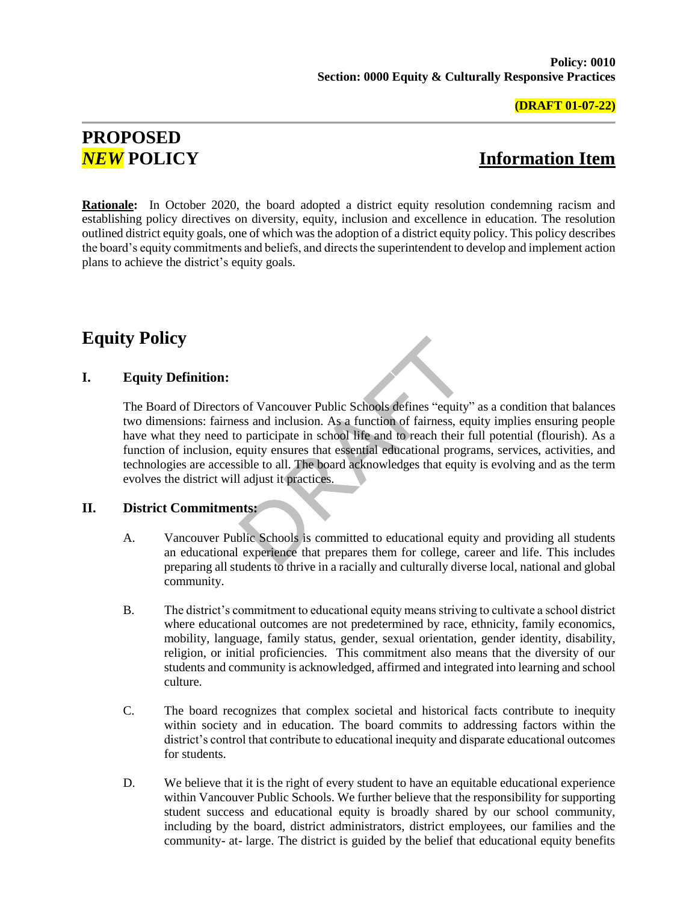### **(DRAFT 01-07-22)**

# **PROPOSED**

# *NEW* **POLICY Information Item**

**Rationale:** In October 2020, the board adopted a district equity resolution condemning racism and establishing policy directives on diversity, equity, inclusion and excellence in education. The resolution outlined district equity goals, one of which was the adoption of a district equity policy. This policy describes the board's equity commitments and beliefs, and directs the superintendent to develop and implement action plans to achieve the district's equity goals.

# **Equity Policy**

## **I. Equity Definition:**

The Board of Directors of Vancouver Public Schools defines "equity" as a condition that balances two dimensions: fairness and inclusion. As a function of fairness, equity implies ensuring people have what they need to participate in school life and to reach their full potential (flourish). As a function of inclusion, equity ensures that essential educational programs, services, activities, and technologies are accessible to all. The board acknowledges that equity is evolving and as the term evolves the district will adjust it practices.

## **II. District Commitments:**

- A. Vancouver Public Schools is committed to educational equity and providing all students an educational experience that prepares them for college, career and life. This includes preparing all students to thrive in a racially and culturally diverse local, national and global community.
- B. The district's commitment to educational equity means striving to cultivate a school district where educational outcomes are not predetermined by race, ethnicity, family economics, mobility, language, family status, gender, sexual orientation, gender identity, disability, religion, or initial proficiencies. This commitment also means that the diversity of our students and community is acknowledged, affirmed and integrated into learning and school culture.
- C. The board recognizes that complex societal and historical facts contribute to inequity within society and in education. The board commits to addressing factors within the district's control that contribute to educational inequity and disparate educational outcomes for students.
- D. We believe that it is the right of every student to have an equitable educational experience within Vancouver Public Schools. We further believe that the responsibility for supporting student success and educational equity is broadly shared by our school community, including by the board, district administrators, district employees, our families and the community- at- large. The district is guided by the belief that educational equity benefits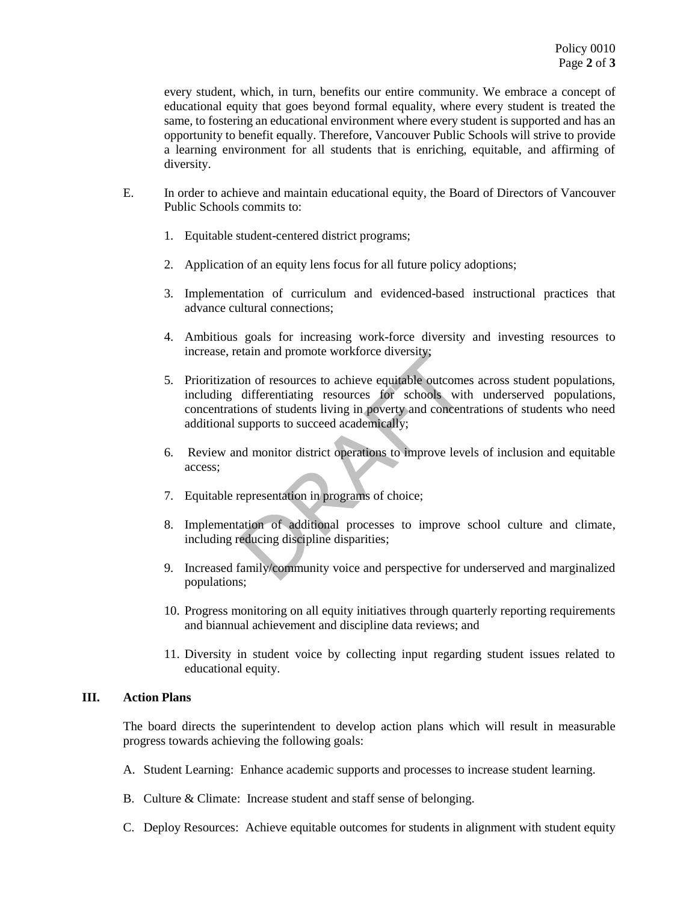every student, which, in turn, benefits our entire community. We embrace a concept of educational equity that goes beyond formal equality, where every student is treated the same, to fostering an educational environment where every student is supported and has an opportunity to benefit equally. Therefore, Vancouver Public Schools will strive to provide a learning environment for all students that is enriching, equitable, and affirming of diversity.

- E. In order to achieve and maintain educational equity, the Board of Directors of Vancouver Public Schools commits to:
	- 1. Equitable student-centered district programs;
	- 2. Application of an equity lens focus for all future policy adoptions;
	- 3. Implementation of curriculum and evidenced-based instructional practices that advance cultural connections;
	- 4. Ambitious goals for increasing work-force diversity and investing resources to increase, retain and promote workforce diversity;
	- 5. Prioritization of resources to achieve equitable outcomes across student populations, including differentiating resources for schools with underserved populations, concentrations of students living in poverty and concentrations of students who need additional supports to succeed academically;
	- 6. Review and monitor district operations to improve levels of inclusion and equitable access;
	- 7. Equitable representation in programs of choice;
	- 8. Implementation of additional processes to improve school culture and climate, including reducing discipline disparities;
	- 9. Increased family/community voice and perspective for underserved and marginalized populations;
	- 10. Progress monitoring on all equity initiatives through quarterly reporting requirements and biannual achievement and discipline data reviews; and
	- 11. Diversity in student voice by collecting input regarding student issues related to educational equity.

### **III. Action Plans**

The board directs the superintendent to develop action plans which will result in measurable progress towards achieving the following goals:

- A. Student Learning: Enhance academic supports and processes to increase student learning.
- B. Culture & Climate: Increase student and staff sense of belonging.
- C. Deploy Resources: Achieve equitable outcomes for students in alignment with student equity